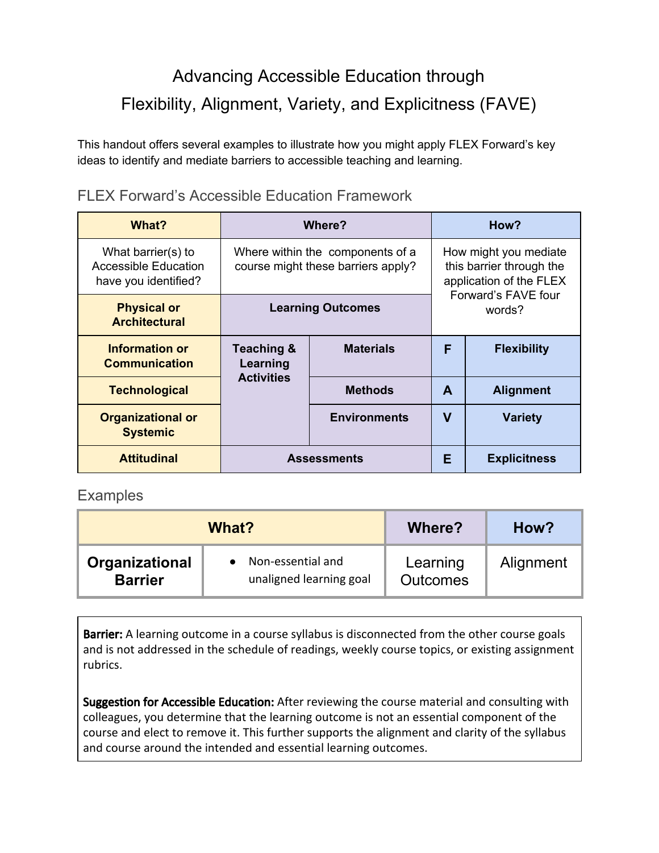## Advancing Accessible Education through Flexibility, Alignment, Variety, and Explicitness (FAVE)

This handout offers several examples to illustrate how you might apply FLEX Forward's key ideas to identify and mediate barriers to accessible teaching and learning.

| What?                                                                     | Where?                                                                 |                     | How?                                                                                                          |                     |
|---------------------------------------------------------------------------|------------------------------------------------------------------------|---------------------|---------------------------------------------------------------------------------------------------------------|---------------------|
| What barrier(s) to<br><b>Accessible Education</b><br>have you identified? | Where within the components of a<br>course might these barriers apply? |                     | How might you mediate<br>this barrier through the<br>application of the FLEX<br>Forward's FAVE four<br>words? |                     |
| <b>Physical or</b><br><b>Architectural</b>                                | <b>Learning Outcomes</b>                                               |                     |                                                                                                               |                     |
| Information or<br><b>Communication</b>                                    | <b>Teaching &amp;</b><br>Learning                                      | <b>Materials</b>    | F                                                                                                             | <b>Flexibility</b>  |
| <b>Technological</b>                                                      | <b>Activities</b>                                                      | <b>Methods</b>      | A                                                                                                             | <b>Alignment</b>    |
| <b>Organizational or</b><br><b>Systemic</b>                               |                                                                        | <b>Environments</b> | V                                                                                                             | <b>Variety</b>      |
| <b>Attitudinal</b>                                                        | <b>Assessments</b>                                                     |                     | Е                                                                                                             | <b>Explicitness</b> |

FLEX Forward's Accessible Education Framework

## **Examples**

| What?          |                         | Where?          | How?      |
|----------------|-------------------------|-----------------|-----------|
| Organizational | Non-essential and       | Learning        | Alignment |
| <b>Barrier</b> | unaligned learning goal | <b>Outcomes</b> |           |

Barrier: A learning outcome in a course syllabus is disconnected from the other course goals and is not addressed in the schedule of readings, weekly course topics, or existing assignment rubrics.

Suggestion for Accessible Education: After reviewing the course material and consulting with colleagues, you determine that the learning outcome is not an essential component of the course and elect to remove it. This further supports the alignment and clarity of the syllabus and course around the intended and essential learning outcomes.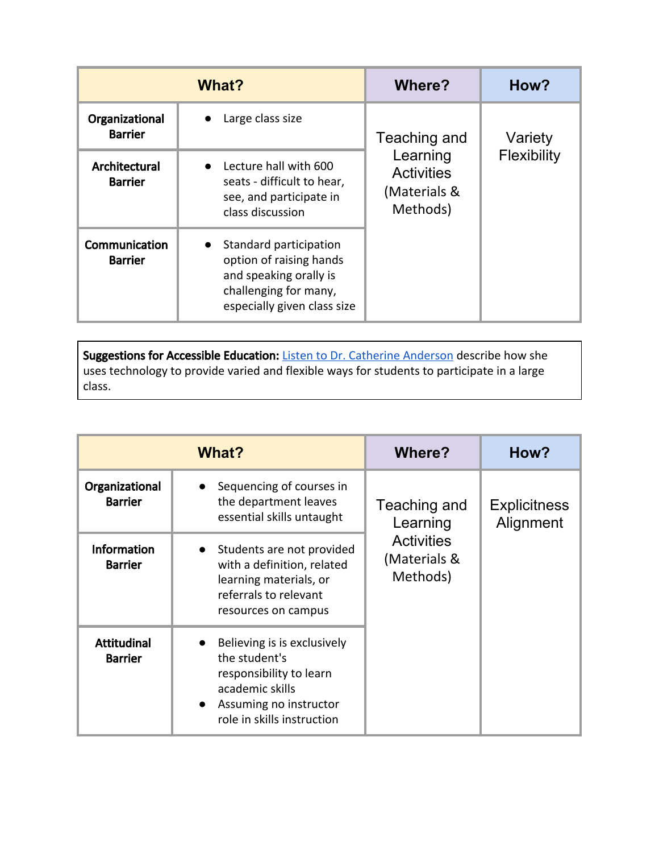| What?                            |                                                                                                                                                  | Where?                                                    | How?        |
|----------------------------------|--------------------------------------------------------------------------------------------------------------------------------------------------|-----------------------------------------------------------|-------------|
| Organizational<br><b>Barrier</b> | Large class size                                                                                                                                 | Teaching and                                              | Variety     |
| Architectural<br><b>Barrier</b>  | Lecture hall with 600<br>$\bullet$<br>seats - difficult to hear,<br>see, and participate in<br>class discussion                                  | Learning<br><b>Activities</b><br>(Materials &<br>Methods) | Flexibility |
| Communication<br><b>Barrier</b>  | Standard participation<br>$\bullet$<br>option of raising hands<br>and speaking orally is<br>challenging for many,<br>especially given class size |                                                           |             |

Suggestions for Accessible Education: [Listen to Dr. Catherine Anderson](https://youtu.be/NrB1wjSDc3E) describe how she uses technology to provide varied and flexible ways for students to participate in a large class.

| What?                                |                                                                                                                                                                 | Where?                                        | How?                             |
|--------------------------------------|-----------------------------------------------------------------------------------------------------------------------------------------------------------------|-----------------------------------------------|----------------------------------|
| Organizational<br><b>Barrier</b>     | Sequencing of courses in<br>the department leaves<br>essential skills untaught                                                                                  | Teaching and<br>Learning                      | <b>Explicitness</b><br>Alignment |
| <b>Information</b><br><b>Barrier</b> | Students are not provided<br>$\bullet$<br>with a definition, related<br>learning materials, or<br>referrals to relevant<br>resources on campus                  | <b>Activities</b><br>(Materials &<br>Methods) |                                  |
| <b>Attitudinal</b><br><b>Barrier</b> | Believing is is exclusively<br>the student's<br>responsibility to learn<br>academic skills<br>Assuming no instructor<br>$\bullet$<br>role in skills instruction |                                               |                                  |